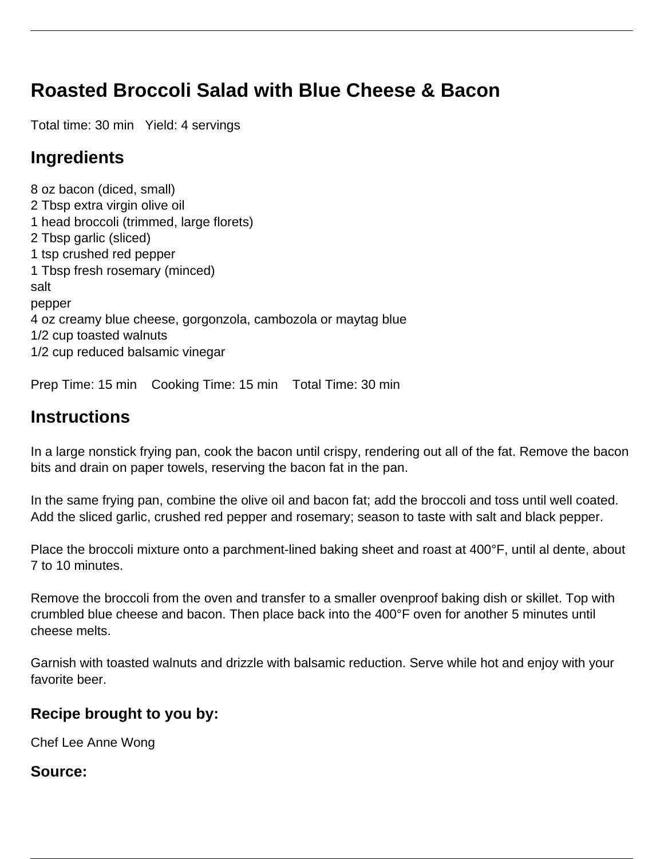# **Roasted Broccoli Salad with Blue Cheese & Bacon**

Total time: 30 min Yield: 4 servings

## **Ingredients**

8 oz bacon (diced, small) 2 Tbsp extra virgin olive oil 1 head broccoli (trimmed, large florets) 2 Tbsp garlic (sliced) 1 tsp crushed red pepper 1 Tbsp fresh rosemary (minced) salt pepper 4 oz creamy blue cheese, gorgonzola, cambozola or maytag blue 1/2 cup toasted walnuts 1/2 cup reduced balsamic vinegar

Prep Time: 15 min Cooking Time: 15 min Total Time: 30 min

## **Instructions**

In a large nonstick frying pan, cook the bacon until crispy, rendering out all of the fat. Remove the bacon bits and drain on paper towels, reserving the bacon fat in the pan.

In the same frying pan, combine the olive oil and bacon fat; add the broccoli and toss until well coated. Add the sliced garlic, crushed red pepper and rosemary; season to taste with salt and black pepper.

Place the broccoli mixture onto a parchment-lined baking sheet and roast at 400°F, until al dente, about 7 to 10 minutes.

Remove the broccoli from the oven and transfer to a smaller ovenproof baking dish or skillet. Top with crumbled blue cheese and bacon. Then place back into the 400°F oven for another 5 minutes until cheese melts.

Garnish with toasted walnuts and drizzle with balsamic reduction. Serve while hot and enjoy with your favorite beer.

#### **Recipe brought to you by:**

Chef Lee Anne Wong

#### **Source:**